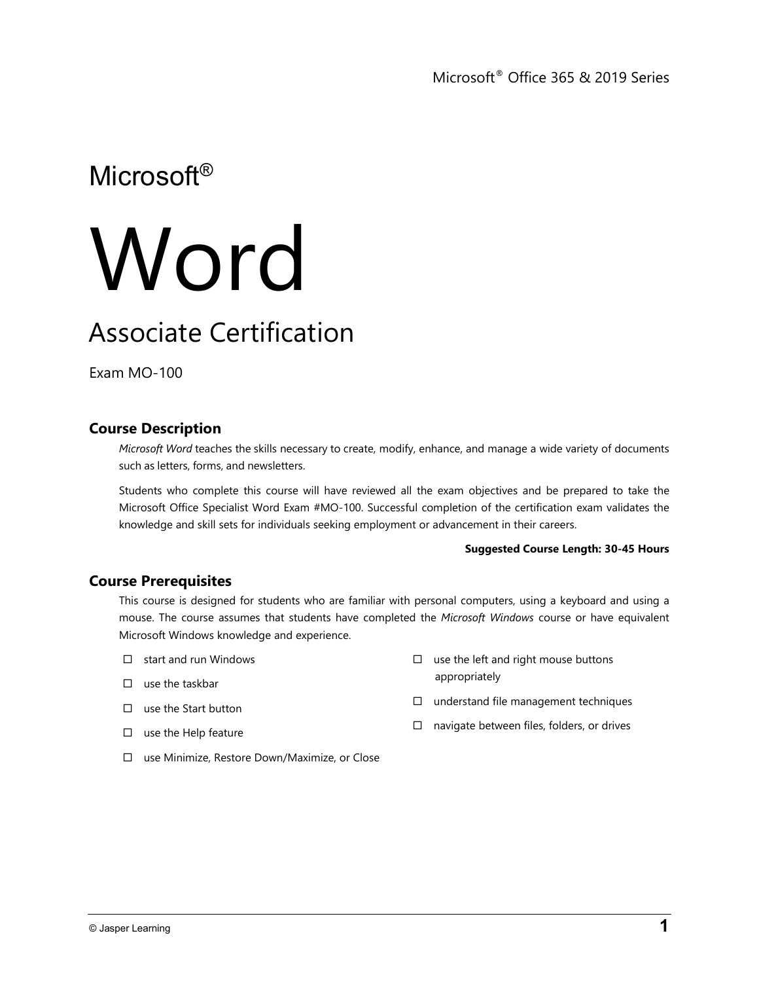# Microsoft®

# **Word**

# Associate Certification

Exam MO-100

# **Course Description**

*Microsoft Word* teaches the skills necessary to create, modify, enhance, and manage a wide variety of documents such as letters, forms, and newsletters.

Students who complete this course will have reviewed all the exam objectives and be prepared to take the Microsoft Office Specialist Word Exam #MO-100. Successful completion of the certification exam validates the knowledge and skill sets for individuals seeking employment or advancement in their careers.

#### **Suggested Course Length: 30-45 Hours**

## **Course Prerequisites**

This course is designed for students who are familiar with personal computers, using a keyboard and using a mouse. The course assumes that students have completed the *Microsoft Windows* course or have equivalent Microsoft Windows knowledge and experience.

- $\Box$  start and run Windows
- $\Box$  use the taskbar

 $\square$  use the left and right mouse buttons appropriately

- $\square$  use the Start button
- $\square$  use the Help feature
- $\square$  understand file management techniques
- $\Box$  navigate between files, folders, or drives
- use Minimize, Restore Down/Maximize, or Close